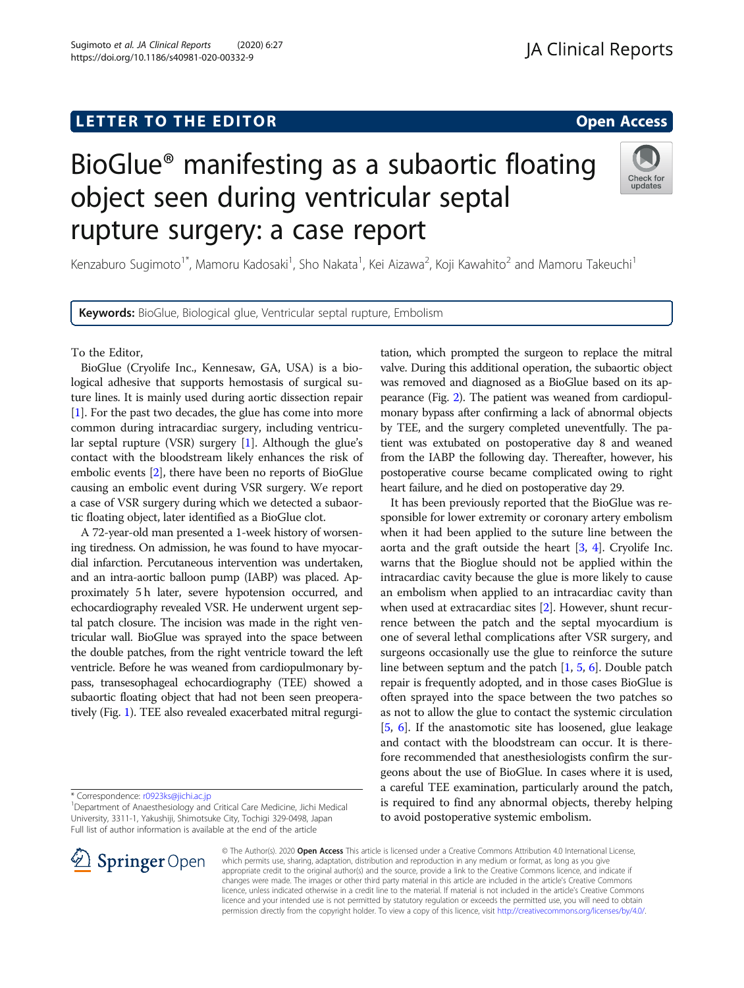# L E T T ER TOR OPEN A T T ER TOR OPEN A T T ER TOR OPEN A T T ER TOR OPEN A T T ER TOR OPEN A T T ER TOR OPEN <br>A t er tor open [Access](http://crossmark.crossref.org/dialog/?doi=10.1186/s40981-020-00332-9&domain=pdf) and the second and the second and the second and the second and the second and the secon

# BioGlue® manifesting as a subaortic floating object seen during ventricular septal rupture surgery: a case report

Kenzaburo Sugimoto<sup>1\*</sup>, Mamoru Kadosaki<sup>1</sup>, Sho Nakata<sup>1</sup>, Kei Aizawa<sup>2</sup>, Koji Kawahito<sup>2</sup> and Mamoru Takeuchi<sup>1</sup>

Keywords: BioGlue, Biological glue, Ventricular septal rupture, Embolism

To the Editor,

BioGlue (Cryolife Inc., Kennesaw, GA, USA) is a biological adhesive that supports hemostasis of surgical suture lines. It is mainly used during aortic dissection repair [[1\]](#page-2-0). For the past two decades, the glue has come into more common during intracardiac surgery, including ventricular septal rupture (VSR) surgery [\[1\]](#page-2-0). Although the glue's contact with the bloodstream likely enhances the risk of embolic events [[2](#page-2-0)], there have been no reports of BioGlue causing an embolic event during VSR surgery. We report a case of VSR surgery during which we detected a subaortic floating object, later identified as a BioGlue clot.

A 72-year-old man presented a 1-week history of worsening tiredness. On admission, he was found to have myocardial infarction. Percutaneous intervention was undertaken, and an intra-aortic balloon pump (IABP) was placed. Approximately 5 h later, severe hypotension occurred, and echocardiography revealed VSR. He underwent urgent septal patch closure. The incision was made in the right ventricular wall. BioGlue was sprayed into the space between the double patches, from the right ventricle toward the left ventricle. Before he was weaned from cardiopulmonary bypass, transesophageal echocardiography (TEE) showed a subaortic floating object that had not been seen preoperatively (Fig. [1](#page-1-0)). TEE also revealed exacerbated mitral regurgi-

\* Correspondence: [r0923ks@jichi.ac.jp](mailto:r0923ks@jichi.ac.jp) <sup>1</sup>

<sup>1</sup> Department of Anaesthesiology and Critical Care Medicine, Jichi Medical University, 3311-1, Yakushiji, Shimotsuke City, Tochigi 329-0498, Japan Full list of author information is available at the end of the article

> © The Author(s). 2020 Open Access This article is licensed under a Creative Commons Attribution 4.0 International License, which permits use, sharing, adaptation, distribution and reproduction in any medium or format, as long as you give appropriate credit to the original author(s) and the source, provide a link to the Creative Commons licence, and indicate if changes were made. The images or other third party material in this article are included in the article's Creative Commons licence, unless indicated otherwise in a credit line to the material. If material is not included in the article's Creative Commons licence and your intended use is not permitted by statutory regulation or exceeds the permitted use, you will need to obtain permission directly from the copyright holder. To view a copy of this licence, visit <http://creativecommons.org/licenses/by/4.0/>.



tation, which prompted the surgeon to replace the mitral valve. During this additional operation, the subaortic object was removed and diagnosed as a BioGlue based on its appearance (Fig. [2\)](#page-1-0). The patient was weaned from cardiopulmonary bypass after confirming a lack of abnormal objects by TEE, and the surgery completed uneventfully. The patient was extubated on postoperative day 8 and weaned from the IABP the following day. Thereafter, however, his postoperative course became complicated owing to right heart failure, and he died on postoperative day 29.

It has been previously reported that the BioGlue was responsible for lower extremity or coronary artery embolism when it had been applied to the suture line between the aorta and the graft outside the heart [\[3](#page-2-0), [4](#page-2-0)]. Cryolife Inc. warns that the Bioglue should not be applied within the intracardiac cavity because the glue is more likely to cause an embolism when applied to an intracardiac cavity than when used at extracardiac sites [\[2\]](#page-2-0). However, shunt recurrence between the patch and the septal myocardium is one of several lethal complications after VSR surgery, and surgeons occasionally use the glue to reinforce the suture line between septum and the patch [\[1,](#page-2-0) [5,](#page-2-0) [6](#page-2-0)]. Double patch repair is frequently adopted, and in those cases BioGlue is often sprayed into the space between the two patches so as not to allow the glue to contact the systemic circulation [[5,](#page-2-0) [6\]](#page-2-0). If the anastomotic site has loosened, glue leakage and contact with the bloodstream can occur. It is therefore recommended that anesthesiologists confirm the surgeons about the use of BioGlue. In cases where it is used, a careful TEE examination, particularly around the patch, is required to find any abnormal objects, thereby helping to avoid postoperative systemic embolism.

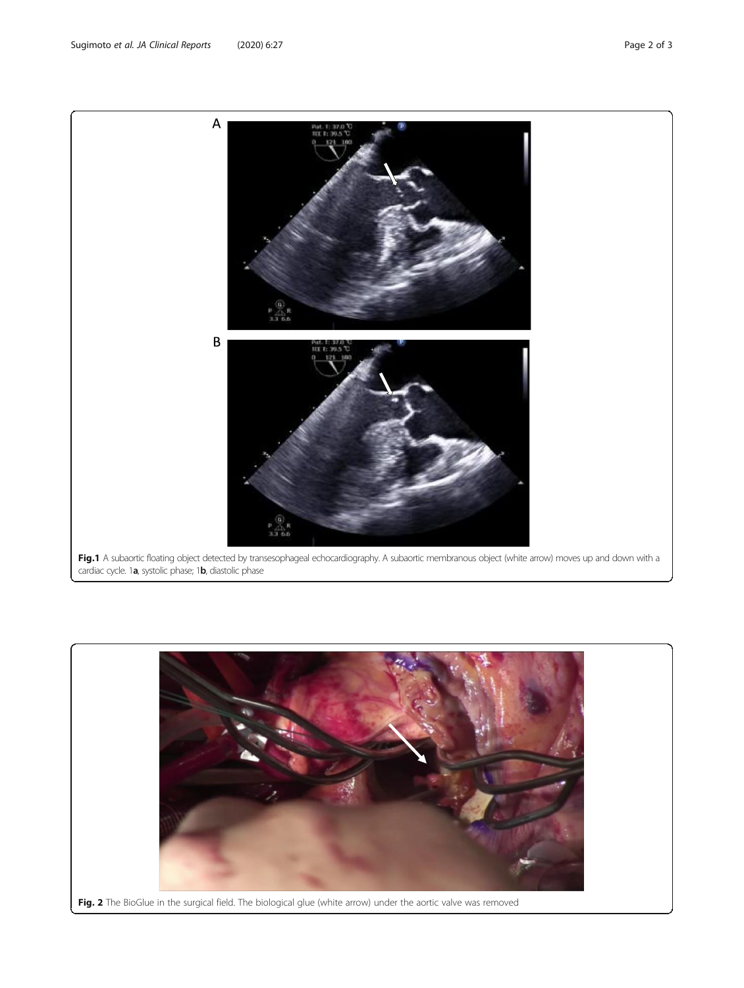<span id="page-1-0"></span>Sugimoto et al. JA Clinical Reports (2020) 6:27 Page 2 of 3